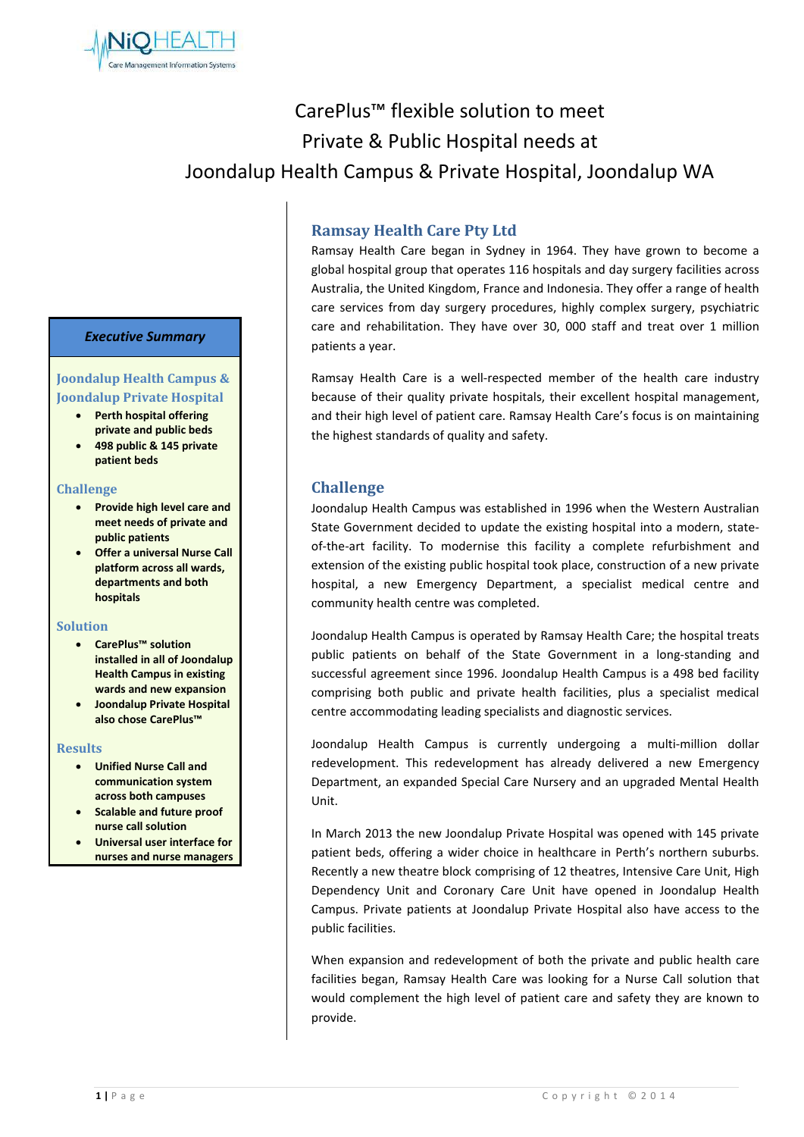

# CarePlus™ flexible solution to meet Private & Public Hospital needs at Joondalup Health Campus & Private Hospital, Joondalup WA

# *Executive Summary*

# **Joondalup Health Campus & Joondalup Private Hospital**

- **Perth hospital offering**
- **private and public beds** • **498 public & 145 private patient beds**

#### **Challenge**

- **Provide high level care and meet needs of private and public patients**
- **Offer a universal Nurse Call platform across all wards, departments and both hospitals**

#### **Solution**

- **CarePlus™ solution installed in all of Joondalup Health Campus in existing wards and new expansion**
- **Joondalup Private Hospital also chose CarePlus™**

#### **Results**

- **Unified Nurse Call and communication system across both campuses**
- **Scalable and future proof nurse call solution**
- **Universal user interface for nurses and nurse managers**

# **Ramsay Health Care Pty Ltd**

Ramsay Health Care began in Sydney in 1964. They have grown to become a global hospital group that operates 116 hospitals and day surgery facilities across Australia, the United Kingdom, France and Indonesia. They offer a range of health care services from day surgery procedures, highly complex surgery, psychiatric care and rehabilitation. They have over 30, 000 staff and treat over 1 million patients a year.

Ramsay Health Care is a well-respected member of the health care industry because of their quality private hospitals, their excellent hospital management, and their high level of patient care. Ramsay Health Care's focus is on maintaining the highest standards of quality and safety.

# **Challenge**

Joondalup Health Campus was established in 1996 when the Western Australian State Government decided to update the existing hospital into a modern, stateof-the-art facility. To modernise this facility a complete refurbishment and extension of the existing public hospital took place, construction of a new private hospital, a new Emergency Department, a specialist medical centre and community health centre was completed.

Joondalup Health Campus is operated by Ramsay Health Care; the hospital treats public patients on behalf of the State Government in a long-standing and successful agreement since 1996. Joondalup Health Campus is a 498 bed facility comprising both public and private health facilities, plus a specialist medical centre accommodating leading specialists and diagnostic services.

Joondalup Health Campus is currently undergoing a multi-million dollar redevelopment. This redevelopment has already delivered a new Emergency Department, an expanded Special Care Nursery and an upgraded Mental Health Unit.

In March 2013 the new Joondalup Private Hospital was opened with 145 private patient beds, offering a wider choice in healthcare in Perth's northern suburbs. Recently a new theatre block comprising of 12 theatres, Intensive Care Unit, High Dependency Unit and Coronary Care Unit have opened in Joondalup Health Campus. Private patients at Joondalup Private Hospital also have access to the public facilities.

When expansion and redevelopment of both the private and public health care facilities began, Ramsay Health Care was looking for a Nurse Call solution that would complement the high level of patient care and safety they are known to provide.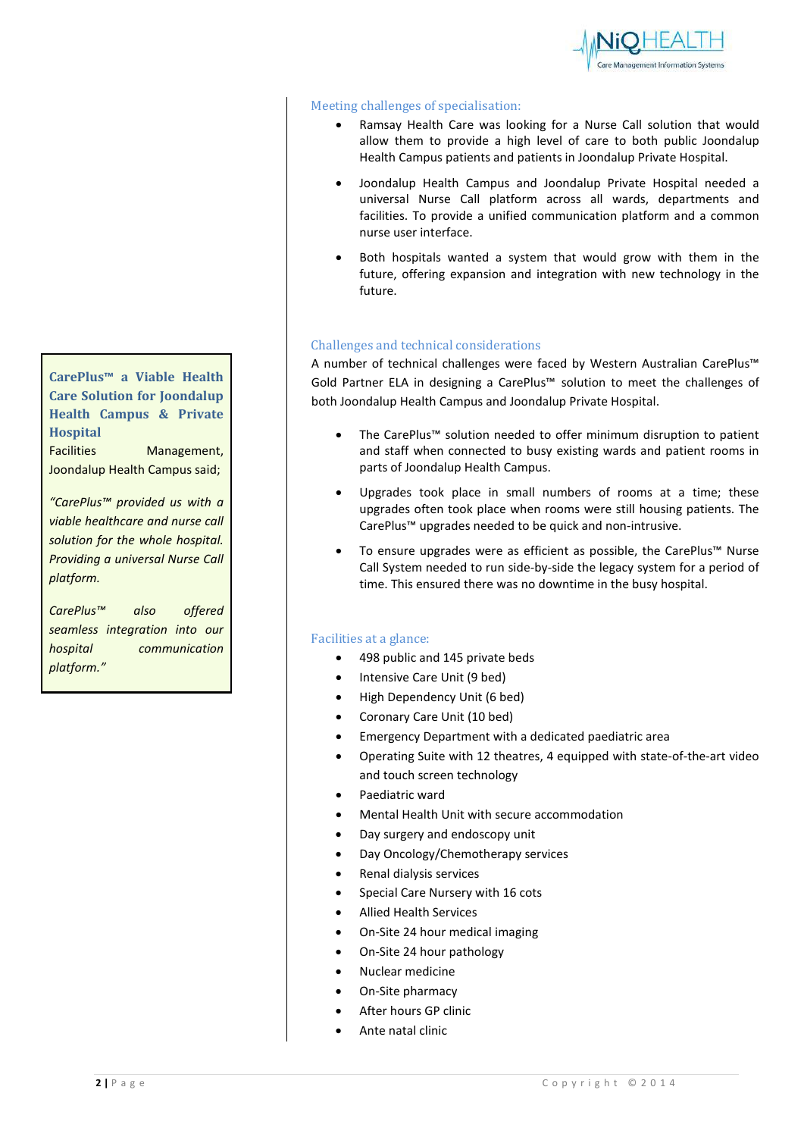

#### Meeting challenges of specialisation:

- Ramsay Health Care was looking for a Nurse Call solution that would allow them to provide a high level of care to both public Joondalup Health Campus patients and patients in Joondalup Private Hospital.
- Joondalup Health Campus and Joondalup Private Hospital needed a universal Nurse Call platform across all wards, departments and facilities. To provide a unified communication platform and a common nurse user interface.
- Both hospitals wanted a system that would grow with them in the future, offering expansion and integration with new technology in the future.

#### Challenges and technical considerations

A number of technical challenges were faced by Western Australian CarePlus™ Gold Partner ELA in designing a CarePlus™ solution to meet the challenges of both Joondalup Health Campus and Joondalup Private Hospital.

- The CarePlus™ solution needed to offer minimum disruption to patient and staff when connected to busy existing wards and patient rooms in parts of Joondalup Health Campus.
- Upgrades took place in small numbers of rooms at a time; these upgrades often took place when rooms were still housing patients. The CarePlus™ upgrades needed to be quick and non-intrusive.
- To ensure upgrades were as efficient as possible, the CarePlus™ Nurse Call System needed to run side-by-side the legacy system for a period of time. This ensured there was no downtime in the busy hospital.

#### Facilities at a glance:

- 498 public and 145 private beds
- Intensive Care Unit (9 bed)
- High Dependency Unit (6 bed)
- Coronary Care Unit (10 bed)
- Emergency Department with a dedicated paediatric area
- Operating Suite with 12 theatres, 4 equipped with state-of-the-art video and touch screen technology
- Paediatric ward
- Mental Health Unit with secure accommodation
- Day surgery and endoscopy unit
- Day Oncology/Chemotherapy services
- Renal dialysis services
- Special Care Nursery with 16 cots
- Allied Health Services
- On-Site 24 hour medical imaging
- On-Site 24 hour pathology
- Nuclear medicine
- On-Site pharmacy
- After hours GP clinic
- Ante natal clinic

**CarePlus™ a Viable Health Care Solution for Joondalup Health Campus & Private Hospital** Facilities Management,

Joondalup Health Campus said;

*"CarePlus™ provided us with a viable healthcare and nurse call solution for the whole hospital. Providing a universal Nurse Call platform.* 

*CarePlus™ also offered seamless integration into our hospital communication platform."*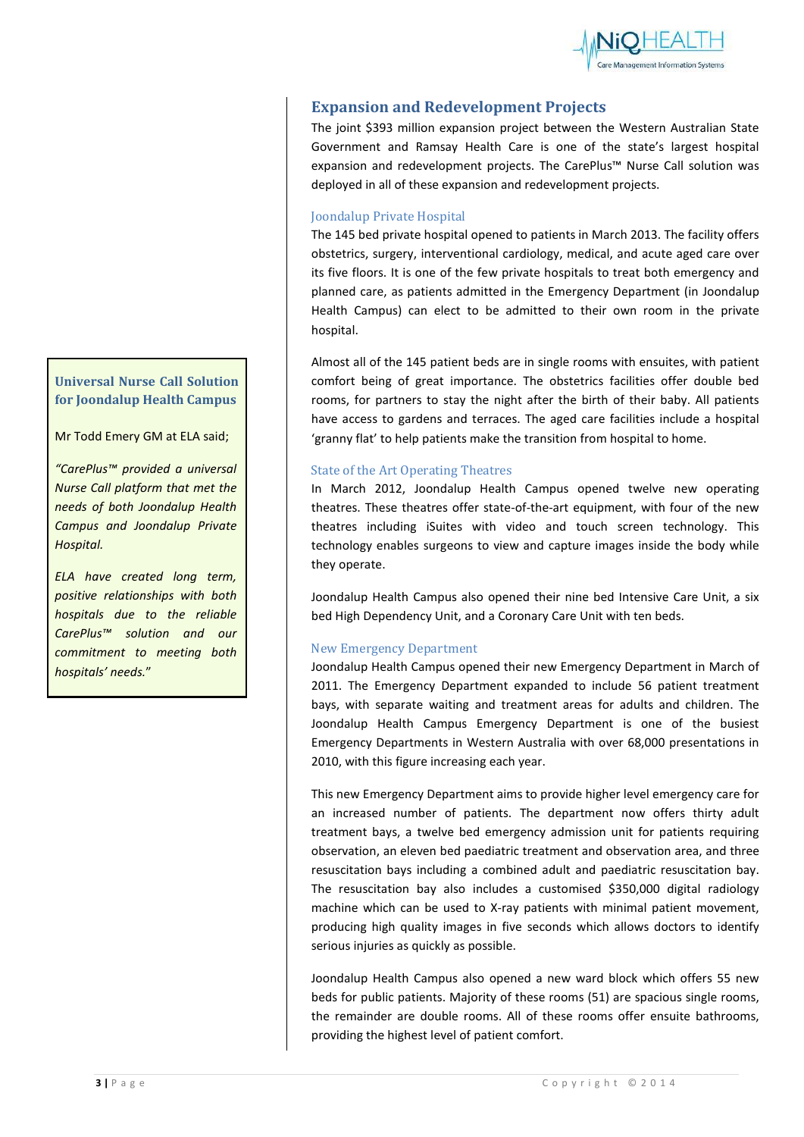

# **Expansion and Redevelopment Projects**

The joint \$393 million expansion project between the Western Australian State Government and Ramsay Health Care is one of the state's largest hospital expansion and redevelopment projects. The CarePlus™ Nurse Call solution was deployed in all of these expansion and redevelopment projects.

#### Joondalup Private Hospital

The 145 bed private hospital opened to patients in March 2013. The facility offers obstetrics, surgery, interventional cardiology, medical, and acute aged care over its five floors. It is one of the few private hospitals to treat both emergency and planned care, as patients admitted in the Emergency Department (in Joondalup Health Campus) can elect to be admitted to their own room in the private hospital.

Almost all of the 145 patient beds are in single rooms with ensuites, with patient comfort being of great importance. The obstetrics facilities offer double bed rooms, for partners to stay the night after the birth of their baby. All patients have access to gardens and terraces. The aged care facilities include a hospital 'granny flat' to help patients make the transition from hospital to home.

#### State of the Art Operating Theatres

In March 2012, Joondalup Health Campus opened twelve new operating theatres. These theatres offer state-of-the-art equipment, with four of the new theatres including iSuites with video and touch screen technology. This technology enables surgeons to view and capture images inside the body while they operate.

Joondalup Health Campus also opened their nine bed Intensive Care Unit, a six bed High Dependency Unit, and a Coronary Care Unit with ten beds.

#### New Emergency Department

Joondalup Health Campus opened their new Emergency Department in March of 2011. The Emergency Department expanded to include 56 patient treatment bays, with separate waiting and treatment areas for adults and children. The Joondalup Health Campus Emergency Department is one of the busiest Emergency Departments in Western Australia with over 68,000 presentations in 2010, with this figure increasing each year.

This new Emergency Department aims to provide higher level emergency care for an increased number of patients. The department now offers thirty adult treatment bays, a twelve bed emergency admission unit for patients requiring observation, an eleven bed paediatric treatment and observation area, and three resuscitation bays including a combined adult and paediatric resuscitation bay. The resuscitation bay also includes a customised \$350,000 digital radiology machine which can be used to X-ray patients with minimal patient movement, producing high quality images in five seconds which allows doctors to identify serious injuries as quickly as possible.

Joondalup Health Campus also opened a new ward block which offers 55 new beds for public patients. Majority of these rooms (51) are spacious single rooms, the remainder are double rooms. All of these rooms offer ensuite bathrooms, providing the highest level of patient comfort.

# **Universal Nurse Call Solution for Joondalup Health Campus**

Mr Todd Emery GM at ELA said;

*"CarePlus™ provided a universal Nurse Call platform that met the needs of both Joondalup Health Campus and Joondalup Private Hospital.* 

*ELA have created long term, positive relationships with both hospitals due to the reliable CarePlus™ solution and our commitment to meeting both hospitals' needs.*"